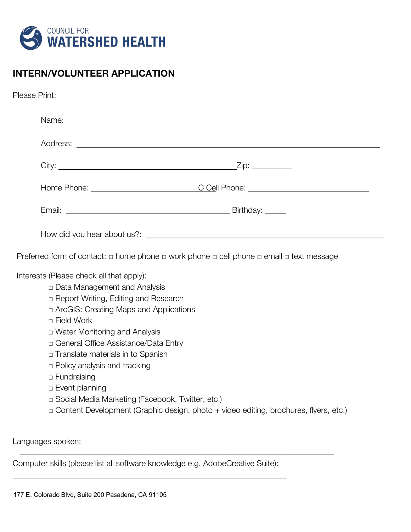

## **INTERN/VOLUNTEER APPLICATION**

Please Print:

| Home Phone: __________________________________C_Cell Phone: _____________________ |  |
|-----------------------------------------------------------------------------------|--|
| Birthday: ______                                                                  |  |
|                                                                                   |  |

Preferred form of contact: □ home phone □ work phone □ cell phone □ email □ text message

Interests (Please check all that apply):

- □ Data Management and Analysis
- □ Report Writing, Editing and Research
- □ ArcGIS: Creating Maps and Applications
- □ Field Work
- □ Water Monitoring and Analysis
- □ General Office Assistance/Data Entry
- □ Translate materials in to Spanish
- □ Policy analysis and tracking
- □ Fundraising
- □ Event planning
- □ Social Media Marketing (Facebook, Twitter, etc.)
- □ Content Development (Graphic design, photo + video editing, brochures, flyers, etc.)

\_\_\_\_\_\_\_\_\_\_\_\_\_\_\_\_\_\_\_\_\_\_\_\_\_\_\_\_\_\_\_\_\_\_\_\_\_\_\_\_\_\_\_\_\_\_\_\_\_\_\_\_\_\_\_\_\_\_\_\_\_\_\_\_\_\_\_\_\_\_\_\_\_\_\_\_\_\_

Languages spoken:

Computer skills (please list all software knowledge e.g. AdobeCreative Suite):

\_\_\_\_\_\_\_\_\_\_\_\_\_\_\_\_\_\_\_\_\_\_\_\_\_\_\_\_\_\_\_\_\_\_\_\_\_\_\_\_\_\_\_\_\_\_\_\_\_\_\_\_\_\_\_\_\_\_\_\_\_\_\_\_\_\_\_\_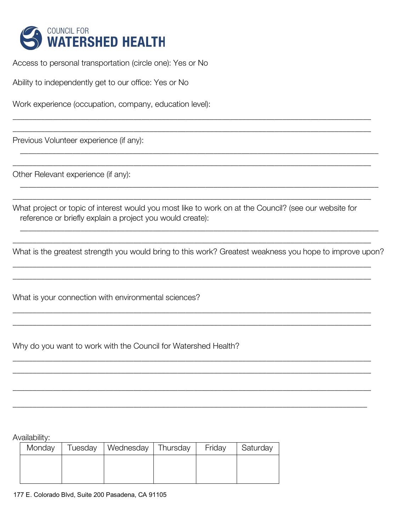

Access to personal transportation (circle one): Yes or No

Ability to independently get to our office: Yes or No

Work experience (occupation, company, education level):

Previous Volunteer experience (if any):

Other Relevant experience (if any):

What project or topic of interest would you most like to work on at the Council? (see our website for reference or briefly explain a project you would create):

What is the greatest strength you would bring to this work? Greatest weakness you hope to improve upon?

What is your connection with environmental sciences?

Why do you want to work with the Council for Watershed Health?

Availability:

| Monday | Tuesday   Wednesday   Thursday | Friday | Saturday |
|--------|--------------------------------|--------|----------|
|        |                                |        |          |
|        |                                |        |          |